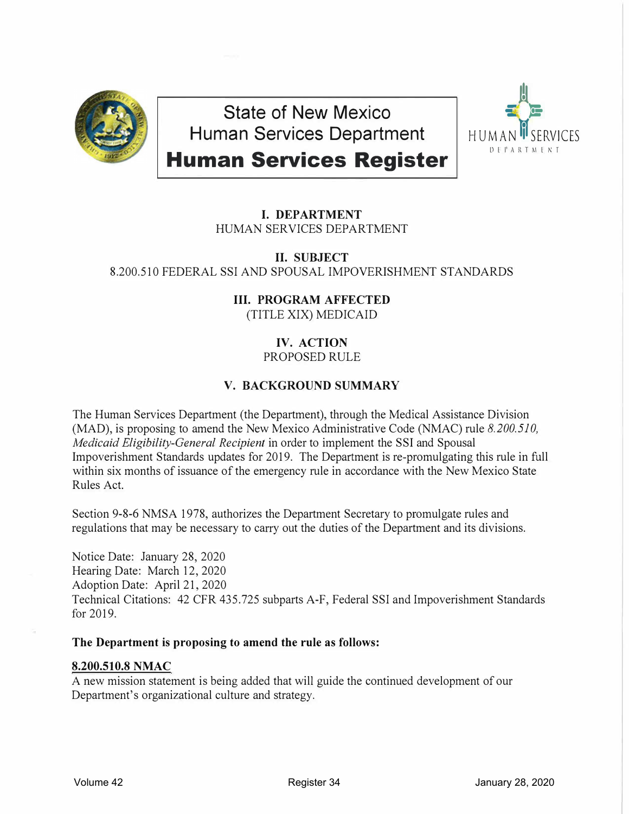

**State of New Mexico Human Services Department** 



**Human Services Register** 

# **I. DEPARTMENT** HUMAN SERVICES DEPARTMENT

## **II. SUBJECT** 8.200.510 FEDERAL SSI AND SPOUSAL IMPOVERISHMENT STANDARDS

# **III. PROGRAM AFFECTED**

(TITLE XIX) MEDICAID

# **IV. ACTION**

PROPOSED RULE

# **V. BACKGROUND SUMMARY**

The Human Services Department (the Department), through the Medical Assistance Division (MAD), is proposing to amend the New Mexico Administrative Code (NMAC) rule *8. 200. 510, Medicaid Eligibility-General Recipient* in order to implement the SSI and Spousal Impoverishment Standards updates for 2019. The Department is re-promulgating this rule in full within six months of issuance of the emergency rule in accordance with the New Mexico State Rules Act.

Section 9-8-6 NMSA 1978, authorizes the Department Secretary to promulgate rules and regulations that may be necessary to carry out the duties of the Department and its divisions.

Notice Date: January 28, 2020 Hearing Date: March 12, 2020 Adoption Date: April 21, 2020 Technical Citations: 42 CFR 435.725 subparts A-F, Federal SSI and Impoverishment Standards for 2019.

#### **The Department is proposing to amend the rule as follows:**

## **8.200.510.8 NMAC**

A new mission statement is being added that will guide the continued development of our Department's organizational culture and strategy.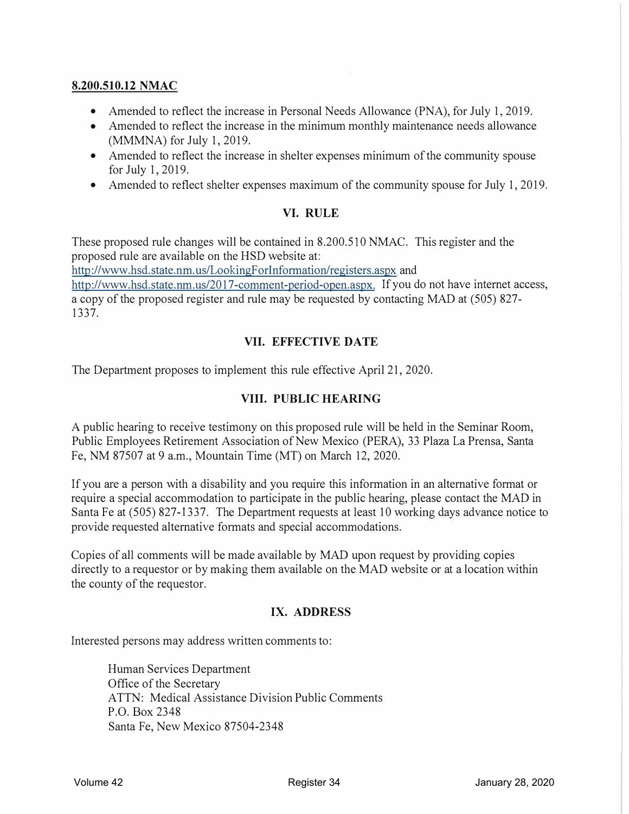#### **8.200.510.12 NMAC**

- Amended to reflect the increase in Personal Needs Allowance (PNA), for July 1, 2019.
- Amended to reflect the increase in the minimum monthly maintenance needs allowance (MMMNA) for July 1, 2019.
- Amended to reflect the increase in shelter expenses minimum of the community spouse for July 1,2019.
- Amended to reflect shelter expenses maximum of the community spouse for July 1, 2019.

#### **VI. RULE**

These proposed rule changes will be contained in 8.200.510 NMAC. This register and the proposed rule are available on the HSD website at: http://www.hsd. state.nm. us/LookingF orlnformation/registers.aspx and http://www.hsd.state.nm.us/2017-comment-period-open.aspx. If you do not have internet access, a copy of the proposed register and rule may be requested by contacting MAD at (505) 827- 1337.

#### **VII. EFFECTIVE DA TE**

The Department proposes to implement this rule effective April 21, 2020.

#### **VIII. PUBLIC HEARING**

A public hearing to receive testimony on this proposed rule will be held in the Seminar Room, Public Employees Retirement Association of New Mexico (PERA), 33 Plaza La Prensa, Santa Fe, NM 87507 at 9 a.m., Mountain Time (MT) on March 12, 2020.

If you are a person with a disability and you require this information in an alternative format or require a special accommodation to participate in the public hearing, please contact the MAD in Santa Fe at (505) 827-1337. The Department requests at least 10 working days advance notice to provide requested alternative formats and special accommodations.

Copies of all comments will be made available by MAD upon request by providing copies directly to a requestor or by making them available on the MAD website or at a location within the county of the requestor.

#### **IX. ADDRESS**

Interested persons may address written comments to:

Human Services Department Office of the Secretary ATTN: Medical Assistance Division Public Comments P.O. Box 2348 Santa Fe, New Mexico 87504-2348